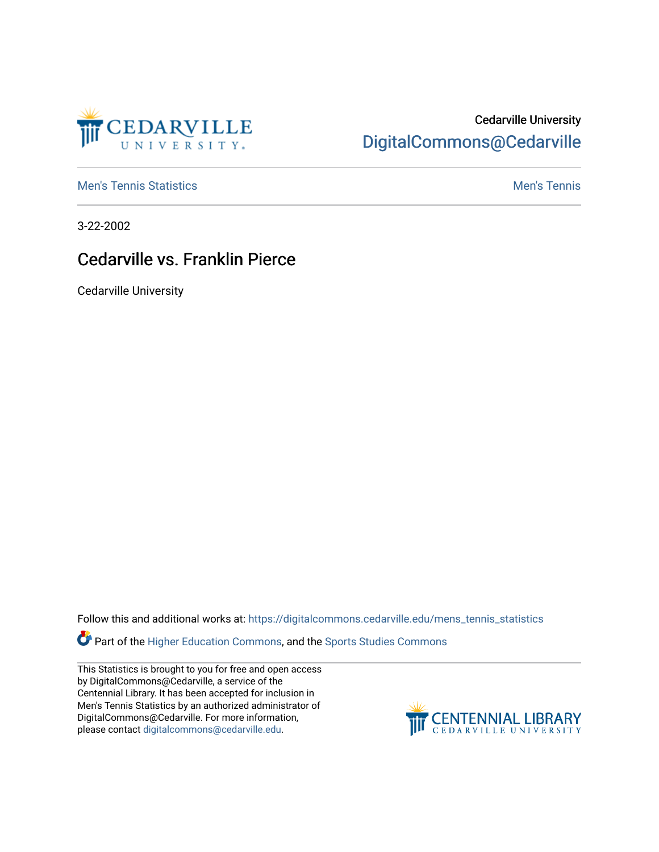

## Cedarville University [DigitalCommons@Cedarville](https://digitalcommons.cedarville.edu/)

**[Men's Tennis Statistics](https://digitalcommons.cedarville.edu/mens_tennis_statistics) Mental According to the Control of Control According Mental Men's Tennis** 

3-22-2002

## Cedarville vs. Franklin Pierce

Cedarville University

Follow this and additional works at: [https://digitalcommons.cedarville.edu/mens\\_tennis\\_statistics](https://digitalcommons.cedarville.edu/mens_tennis_statistics?utm_source=digitalcommons.cedarville.edu%2Fmens_tennis_statistics%2F504&utm_medium=PDF&utm_campaign=PDFCoverPages)

Part of the [Higher Education Commons,](http://network.bepress.com/hgg/discipline/1245?utm_source=digitalcommons.cedarville.edu%2Fmens_tennis_statistics%2F504&utm_medium=PDF&utm_campaign=PDFCoverPages) and the [Sports Studies Commons](http://network.bepress.com/hgg/discipline/1198?utm_source=digitalcommons.cedarville.edu%2Fmens_tennis_statistics%2F504&utm_medium=PDF&utm_campaign=PDFCoverPages) 

This Statistics is brought to you for free and open access by DigitalCommons@Cedarville, a service of the Centennial Library. It has been accepted for inclusion in Men's Tennis Statistics by an authorized administrator of DigitalCommons@Cedarville. For more information, please contact [digitalcommons@cedarville.edu](mailto:digitalcommons@cedarville.edu).